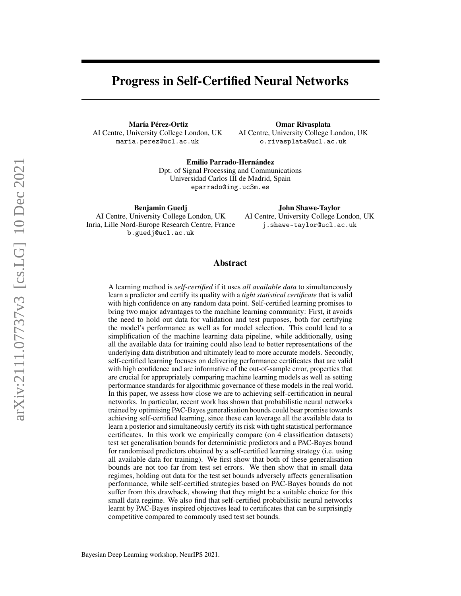# Progress in Self-Certified Neural Networks

María Pérez-Ortiz AI Centre, University College London, UK maria.perez@ucl.ac.uk

Omar Rivasplata AI Centre, University College London, UK o.rivasplata@ucl.ac.uk

Emilio Parrado-Hernández Dpt. of Signal Processing and Communications Universidad Carlos III de Madrid, Spain eparrado@ing.uc3m.es

Benjamin Guedj AI Centre, University College London, UK Inria, Lille Nord-Europe Research Centre, France b.guedj@ucl.ac.uk

John Shawe-Taylor AI Centre, University College London, UK j.shawe-taylor@ucl.ac.uk

## Abstract

A learning method is *self-certified* if it uses *all available data* to simultaneously learn a predictor and certify its quality with a *tight statistical certificate* that is valid with high confidence on any random data point. Self-certified learning promises to bring two major advantages to the machine learning community: First, it avoids the need to hold out data for validation and test purposes, both for certifying the model's performance as well as for model selection. This could lead to a simplification of the machine learning data pipeline, while additionally, using all the available data for training could also lead to better representations of the underlying data distribution and ultimately lead to more accurate models. Secondly, self-certified learning focuses on delivering performance certificates that are valid with high confidence and are informative of the out-of-sample error, properties that are crucial for appropriately comparing machine learning models as well as setting performance standards for algorithmic governance of these models in the real world. In this paper, we assess how close we are to achieving self-certification in neural networks. In particular, recent work has shown that probabilistic neural networks trained by optimising PAC-Bayes generalisation bounds could bear promise towards achieving self-certified learning, since these can leverage all the available data to learn a posterior and simultaneously certify its risk with tight statistical performance certificates. In this work we empirically compare (on 4 classification datasets) test set generalisation bounds for deterministic predictors and a PAC-Bayes bound for randomised predictors obtained by a self-certified learning strategy (i.e. using all available data for training). We first show that both of these generalisation bounds are not too far from test set errors. We then show that in small data regimes, holding out data for the test set bounds adversely affects generalisation performance, while self-certified strategies based on PAC-Bayes bounds do not suffer from this drawback, showing that they might be a suitable choice for this small data regime. We also find that self-certified probabilistic neural networks learnt by PAC-Bayes inspired objectives lead to certificates that can be surprisingly competitive compared to commonly used test set bounds.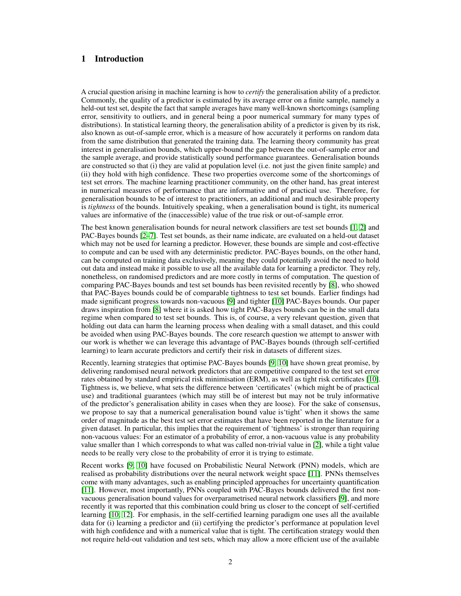# 1 Introduction

A crucial question arising in machine learning is how to *certify* the generalisation ability of a predictor. Commonly, the quality of a predictor is estimated by its average error on a finite sample, namely a held-out test set, despite the fact that sample averages have many well-known shortcomings (sampling error, sensitivity to outliers, and in general being a poor numerical summary for many types of distributions). In statistical learning theory, the generalisation ability of a predictor is given by its risk, also known as out-of-sample error, which is a measure of how accurately it performs on random data from the same distribution that generated the training data. The learning theory community has great interest in generalisation bounds, which upper-bound the gap between the out-of-sample error and the sample average, and provide statistically sound performance guarantees. Generalisation bounds are constructed so that (i) they are valid at population level (i.e. not just the given finite sample) and (ii) they hold with high confidence. These two properties overcome some of the shortcomings of test set errors. The machine learning practitioner community, on the other hand, has great interest in numerical measures of performance that are informative and of practical use. Therefore, for generalisation bounds to be of interest to practitioners, an additional and much desirable property is *tightness* of the bounds. Intuitively speaking, when a generalisation bound is tight, its numerical values are informative of the (inaccessible) value of the true risk or out-of-sample error.

The best known generalisation bounds for neural network classifiers are test set bounds [\[1,](#page-8-0) [2\]](#page-8-1) and PAC-Bayes bounds [\[2](#page-8-1)[–7\]](#page-8-2). Test set bounds, as their name indicate, are evaluated on a held-out dataset which may not be used for learning a predictor. However, these bounds are simple and cost-effective to compute and can be used with any deterministic predictor. PAC-Bayes bounds, on the other hand, can be computed on training data exclusively, meaning they could potentially avoid the need to hold out data and instead make it possible to use all the available data for learning a predictor. They rely, nonetheless, on randomised predictors and are more costly in terms of computation. The question of comparing PAC-Bayes bounds and test set bounds has been revisited recently by [\[8\]](#page-8-3), who showed that PAC-Bayes bounds could be of comparable tightness to test set bounds. Earlier findings had made significant progress towards non-vacuous [\[9\]](#page-8-4) and tighter [\[10\]](#page-8-5) PAC-Bayes bounds. Our paper draws inspiration from [\[8\]](#page-8-3) where it is asked how tight PAC-Bayes bounds can be in the small data regime when compared to test set bounds. This is, of course, a very relevant question, given that holding out data can harm the learning process when dealing with a small dataset, and this could be avoided when using PAC-Bayes bounds. The core research question we attempt to answer with our work is whether we can leverage this advantage of PAC-Bayes bounds (through self-certified learning) to learn accurate predictors and certify their risk in datasets of different sizes.

Recently, learning strategies that optimise PAC-Bayes bounds [\[9,](#page-8-4) [10\]](#page-8-5) have shown great promise, by delivering randomised neural network predictors that are competitive compared to the test set error rates obtained by standard empirical risk minimisation (ERM), as well as tight risk certificates [\[10\]](#page-8-5). Tightness is, we believe, what sets the difference between 'certificates' (which might be of practical use) and traditional guarantees (which may still be of interest but may not be truly informative of the predictor's generalisation ability in cases when they are loose). For the sake of consensus, we propose to say that a numerical generalisation bound value is'tight' when it shows the same order of magnitude as the best test set error estimates that have been reported in the literature for a given dataset. In particular, this implies that the requirement of 'tightness' is stronger than requiring non-vacuous values: For an estimator of a probability of error, a non-vacuous value is any probability value smaller than 1 which corresponds to what was called non-trivial value in [\[2\]](#page-8-1), while a tight value needs to be really very close to the probability of error it is trying to estimate.

Recent works [\[9,](#page-8-4) [10\]](#page-8-5) have focused on Probabilistic Neural Network (PNN) models, which are realised as probability distributions over the neural network weight space [\[11\]](#page-8-6). PNNs themselves come with many advantages, such as enabling principled approaches for uncertainty quantification [\[11\]](#page-8-6). However, most importantly, PNNs coupled with PAC-Bayes bounds delivered the first nonvacuous generalisation bound values for overparametrised neural network classifiers [\[9\]](#page-8-4), and more recently it was reported that this combination could bring us closer to the concept of self-certified learning [\[10,](#page-8-5) [12\]](#page-8-7). For emphasis, in the self-certified learning paradigm one uses all the available data for (i) learning a predictor and (ii) certifying the predictor's performance at population level with high confidence and with a numerical value that is tight. The certification strategy would then not require held-out validation and test sets, which may allow a more efficient use of the available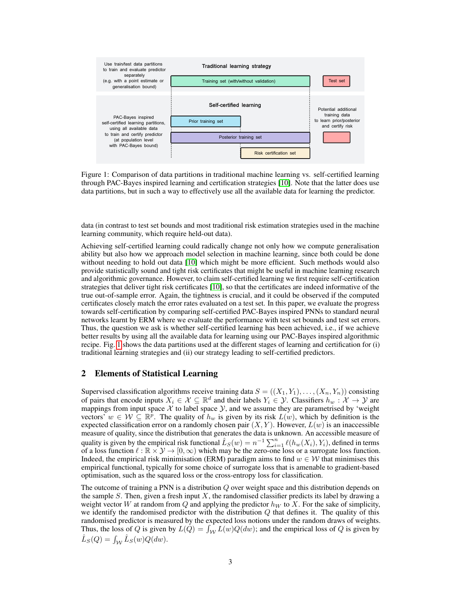

<span id="page-2-0"></span>Figure 1: Comparison of data partitions in traditional machine learning vs. self-certified learning through PAC-Bayes inspired learning and certification strategies [\[10\]](#page-8-5). Note that the latter does use data partitions, but in such a way to effectively use all the available data for learning the predictor.

data (in contrast to test set bounds and most traditional risk estimation strategies used in the machine learning community, which require held-out data).

Achieving self-certified learning could radically change not only how we compute generalisation ability but also how we approach model selection in machine learning, since both could be done without needing to hold out data [\[10\]](#page-8-5) which might be more efficient. Such methods would also provide statistically sound and tight risk certificates that might be useful in machine learning research and algorithmic governance. However, to claim self-certified learning we first require self-certification strategies that deliver tight risk certificates [\[10\]](#page-8-5), so that the certificates are indeed informative of the true out-of-sample error. Again, the tightness is crucial, and it could be observed if the computed certificates closely match the error rates evaluated on a test set. In this paper, we evaluate the progress towards self-certification by comparing self-certified PAC-Bayes inspired PNNs to standard neural networks learnt by ERM where we evaluate the performance with test set bounds and test set errors. Thus, the question we ask is whether self-certified learning has been achieved, i.e., if we achieve better results by using all the available data for learning using our PAC-Bayes inspired algorithmic recipe. Fig. [1](#page-2-0) shows the data partitions used at the different stages of learning and certification for (i) traditional learning strategies and (ii) our strategy leading to self-certified predictors.

## 2 Elements of Statistical Learning

Supervised classification algorithms receive training data  $S = ((X_1, Y_1), \ldots, (X_n, Y_n))$  consisting of pairs that encode inputs  $X_i \in \mathcal{X} \subseteq \mathbb{R}^d$  and their labels  $Y_i \in \mathcal{Y}$ . Classifiers  $h_w : \mathcal{X} \to \mathcal{Y}$  are mappings from input space  $\mathcal X$  to label space  $\mathcal Y$ , and we assume they are parametrised by 'weight vectors'  $w \in \mathcal{W} \subseteq \mathbb{R}^p$ . The quality of  $h_w$  is given by its risk  $L(w)$ , which by definition is the expected classification error on a randomly chosen pair  $(X, Y)$ . However,  $L(w)$  is an inaccessible measure of quality, since the distribution that generates the data is unknown. An accessible measure of quality is given by the empirical risk functional  $\hat{L}_S(w) = n^{-1} \sum_{i=1}^n \ell(h_w(X_i), Y_i)$ , defined in terms of a loss function  $\ell : \mathbb{R} \times \mathcal{Y} \to [0, \infty)$  which may be the zero-one loss or a surrogate loss function. Indeed, the empirical risk minimisation (ERM) paradigm aims to find  $w \in \mathcal{W}$  that minimises this empirical functional, typically for some choice of surrogate loss that is amenable to gradient-based optimisation, such as the squared loss or the cross-entropy loss for classification.

The outcome of training a PNN is a distribution  $Q$  over weight space and this distribution depends on the sample  $S$ . Then, given a fresh input  $X$ , the randomised classifier predicts its label by drawing a weight vector W at random from Q and applying the predictor  $h_W$  to X. For the sake of simplicity, we identify the randomised predictor with the distribution  $Q$  that defines it. The quality of this randomised predictor is measured by the expected loss notions under the random draws of weights. Thus, the loss of Q is given by  $L(Q) = \int_W L(w)Q(dw)$ ; and the empirical loss of Q is given by  $\hat{L}_S(Q) = \int_{\mathcal{W}} \hat{L}_S(w) Q(dw).$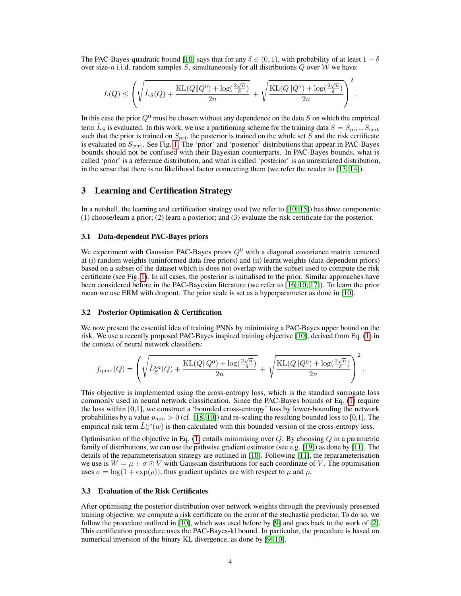The PAC-Bayes-quadratic bound [\[10\]](#page-8-5) says that for any  $\delta \in (0, 1)$ , with probability of at least  $1 - \delta$ over size-n i.i.d. random samples S, simultaneously for all distributions  $Q$  over W we have:

<span id="page-3-0"></span>
$$
L(Q) \leq \left(\sqrt{\hat{L}_S(Q) + \frac{\text{KL}(Q||Q^0) + \log(\frac{2\sqrt{n}}{\delta})}{2n}} + \sqrt{\frac{\text{KL}(Q||Q^0) + \log(\frac{2\sqrt{n}}{\delta})}{2n}}\right)^2.
$$

In this case the prior  $Q^0$  must be chosen without any dependence on the data S on which the empirical term  $\hat{L}_S$  is evaluated. In this work, we use a partitioning scheme for the training data  $S = S_{\text{pri}} \cup S_{\text{cert}}$ such that the prior is trained on  $S_{\text{pri}}$ , the posterior is trained on the whole set S and the risk certificate is evaluated on  $S_{\text{cert}}$ . See Fig. [1.](#page-2-0) The 'prior' and 'posterior' distributions that appear in PAC-Bayes bounds should not be confused with their Bayesian counterparts. In PAC-Bayes bounds, what is called 'prior' is a reference distribution, and what is called 'posterior' is an unrestricted distribution, in the sense that there is no likelihood factor connecting them (we refer the reader to [\[13,](#page-8-8) [14\]](#page-8-9)).

## 3 Learning and Certification Strategy

In a nutshell, the learning and certification strategy used (we refer to [\[10,](#page-8-5) [15\]](#page-8-10)) has three components: (1) choose/learn a prior; (2) learn a posterior; and (3) evaluate the risk certificate for the posterior.

### 3.1 Data-dependent PAC-Bayes priors

We experiment with Gaussian PAC-Bayes priors  $Q<sup>0</sup>$  with a diagonal covariance matrix centered at (i) random weights (uninformed data-free priors) and (ii) learnt weights (data-dependent priors) based on a subset of the dataset which is does not overlap with the subset used to compute the risk certificate (see Fig. [1\)](#page-2-0). In all cases, the posterior is initialised to the prior. Similar approaches have been considered before in the PAC-Bayesian literature (we refer to [\[16,](#page-8-11) [10,](#page-8-5) [17\]](#page-8-12)). To learn the prior mean we use ERM with dropout. The prior scale is set as a hyperparameter as done in [\[10\]](#page-8-5).

#### 3.2 Posterior Optimisation & Certification

We now present the essential idea of training PNNs by minimising a PAC-Bayes upper bound on the risk. We use a recently proposed PAC-Bayes inspired training objective [\[10\]](#page-8-5), derived from Eq. [\(1\)](#page-3-0) in the context of neural network classifiers:

<span id="page-3-1"></span>
$$
f_{\text{quad}}(Q) = \left(\sqrt{\hat{L}_S^{\text{x-e}}(Q) + \frac{\text{KL}(Q||Q^0) + \log(\frac{2\sqrt{n}}{\delta})}{2n}} + \sqrt{\frac{\text{KL}(Q||Q^0) + \log(\frac{2\sqrt{n}}{\delta})}{2n}}\right)^2
$$

.

This objective is implemented using the cross-entropy loss, which is the standard surrogate loss commonly used in neural network classification. Since the PAC-Bayes bounds of Eq. [\(1\)](#page-3-0) require the loss within [0,1], we construct a 'bounded cross-entropy' loss by lower-bounding the network probabilities by a value  $p_{\min} > 0$  (cf. [\[18,](#page-9-0) [10\]](#page-8-5)) and re-scaling the resulting bounded loss to [0,1]. The empirical risk term  $\hat{L}_S^{x,e}(w)$  is then calculated with this bounded version of the cross-entropy loss.

Optimisation of the objective in Eq.  $(1)$  entails minimising over Q. By choosing Q in a parametric family of distributions, we can use the pathwise gradient estimator (see e.g. [\[19\]](#page-9-1)) as done by [\[11\]](#page-8-6). The details of the reparameterisation strategy are outlined in [\[10\]](#page-8-5). Following [\[11\]](#page-8-6), the reparameterisation we use is  $W = \mu + \sigma \odot V$  with Gaussian distributions for each coordinate of V. The optimisation uses  $\sigma = \log(1 + \exp(\rho))$ , thus gradient updates are with respect to  $\mu$  and  $\rho$ .

#### 3.3 Evaluation of the Risk Certificates

After optimising the posterior distribution over network weights through the previously presented training objective, we compute a risk certificate on the error of the stochastic predictor. To do so, we follow the procedure outlined in [\[10\]](#page-8-5), which was used before by [\[9\]](#page-8-4) and goes back to the work of [\[2\]](#page-8-1). This certification procedure uses the PAC-Bayes-kl bound. In particular, the procedure is based on numerical inversion of the binary KL divergence, as done by [\[9,](#page-8-4) [10\]](#page-8-5).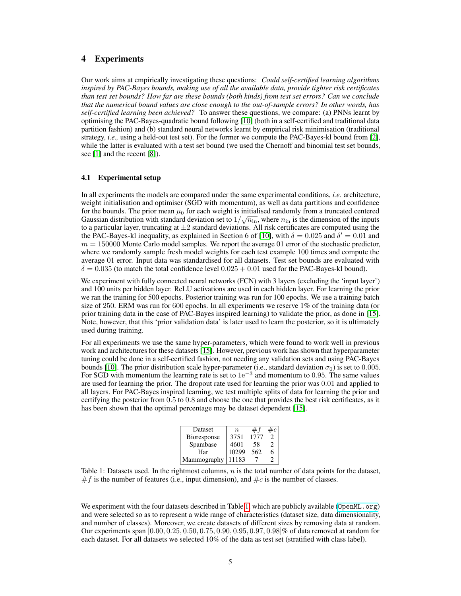# 4 Experiments

Our work aims at empirically investigating these questions: *Could self-certified learning algorithms inspired by PAC-Bayes bounds, making use of all the available data, provide tighter risk certificates than test set bounds? How far are these bounds (both kinds) from test set errors? Can we conclude that the numerical bound values are close enough to the out-of-sample errors? In other words, has self-certified learning been achieved?* To answer these questions, we compare: (a) PNNs learnt by optimising the PAC-Bayes-quadratic bound following [\[10\]](#page-8-5) (both in a self-certified and traditional data partition fashion) and (b) standard neural networks learnt by empirical risk minimisation (traditional strategy, *i.e.,* using a held-out test set). For the former we compute the PAC-Bayes-kl bound from [\[2\]](#page-8-1), while the latter is evaluated with a test set bound (we used the Chernoff and binomial test set bounds, see [\[1\]](#page-8-0) and the recent [\[8\]](#page-8-3)).

#### 4.1 Experimental setup

In all experiments the models are compared under the same experimental conditions, *i.e.* architecture, weight initialisation and optimiser (SGD with momentum), as well as data partitions and confidence for the bounds. The prior mean  $\mu_0$  for each weight is initialised randomly from a truncated centered<br>Constitution is in the truncated by interesting of the linear initialised Gaussian distribution with standard deviation set to  $1/\sqrt{n_{\text{in}}}$ , where  $n_{\text{in}}$  is the dimension of the inputs to a particular layer, truncating at  $\pm 2$  standard deviations. All risk certificates are computed using the the PAC-Bayes-kl inequality, as explained in Section 6 of [\[10\]](#page-8-5), with  $\delta = 0.025$  and  $\delta' = 0.01$  and  $m = 150000$  Monte Carlo model samples. We report the average 01 error of the stochastic predictor, where we randomly sample fresh model weights for each test example 100 times and compute the average 01 error. Input data was standardised for all datasets. Test set bounds are evaluated with  $\delta = 0.035$  (to match the total confidence level  $0.025 + 0.01$  used for the PAC-Bayes-kl bound).

We experiment with fully connected neural networks (FCN) with 3 layers (excluding the 'input layer') and 100 units per hidden layer. ReLU activations are used in each hidden layer. For learning the prior we ran the training for 500 epochs. Posterior training was run for 100 epochs. We use a training batch size of 250. ERM was run for 600 epochs. In all experiments we reserve 1% of the training data (or prior training data in the case of PAC-Bayes inspired learning) to validate the prior, as done in [\[15\]](#page-8-10). Note, however, that this 'prior validation data' is later used to learn the posterior, so it is ultimately used during training.

For all experiments we use the same hyper-parameters, which were found to work well in previous work and architectures for these datasets [\[15\]](#page-8-10). However, previous work has shown that hyperparameter tuning could be done in a self-certified fashion, not needing any validation sets and using PAC-Bayes bounds [\[10\]](#page-8-5). The prior distribution scale hyper-parameter (i.e., standard deviation  $\sigma_0$ ) is set to 0.005. For SGD with momentum the learning rate is set to  $1e^{-3}$  and momentum to 0.95. The same values are used for learning the prior. The dropout rate used for learning the prior was 0.01 and applied to all layers. For PAC-Bayes inspired learning, we test multiple splits of data for learning the prior and certifying the posterior from 0.5 to 0.8 and choose the one that provides the best risk certificates, as it has been shown that the optimal percentage may be dataset dependent [\[15\]](#page-8-10).

| Dataset            | $\boldsymbol{n}$ |      |   |
|--------------------|------------------|------|---|
| <b>Bioresponse</b> | 3751             | 1777 |   |
| Spambase           | 4601             | 58   | 2 |
| Har                | 10299            | 562  | 6 |
| Mammography        | 11183            |      |   |

<span id="page-4-0"></span>Table 1: Datasets used. In the rightmost columns,  $n$  is the total number of data points for the dataset,  $#f$  is the number of features (i.e., input dimension), and  $#c$  is the number of classes.

We experiment with the four datasets described in Table [1,](#page-4-0) which are publicly available (0 $p$ enML.org) and were selected so as to represent a wide range of characteristics (dataset size, data dimensionality, and number of classes). Moreover, we create datasets of different sizes by removing data at random. Our experiments span [0.00, 0.25, 0.50, 0.75, 0.90, 0.95, 0.97, 0.98]% of data removed at random for each dataset. For all datasets we selected 10% of the data as test set (stratified with class label).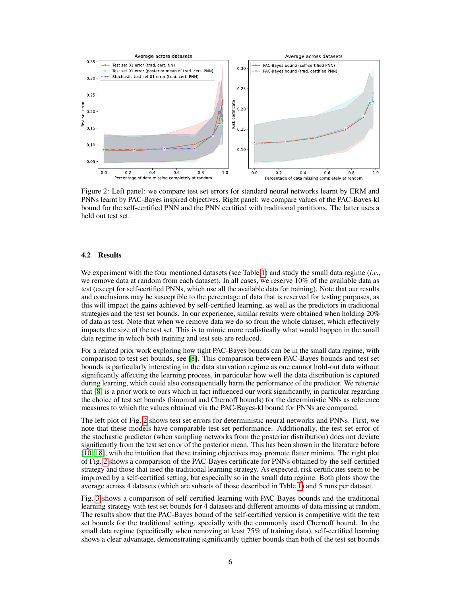

<span id="page-5-0"></span>Figure 2: Left panel: we compare test set errors for standard neural networks learnt by ERM and PNNs learnt by PAC-Bayes inspired objectives. Right panel: we compare values of the PAC-Bayes-kl bound for the self-certified PNN and the PNN certified with traditional partitions. The latter uses a held out test set.

#### 4.2 Results

We experiment with the four mentioned datasets (see Table [1\)](#page-4-0) and study the small data regime (*i.e.,* we remove data at random from each dataset). In all cases, we reserve 10% of the available data as test (except for self-certified PNNs, which use all the available data for training). Note that our results and conclusions may be susceptible to the percentage of data that is reserved for testing purposes, as this will impact the gains achieved by self-certified learning, as well as the predictors in traditional strategies and the test set bounds. In our experience, similar results were obtained when holding 20% of data as test. Note that when we remove data we do so from the whole dataset, which effectively impacts the size of the test set. This is to mimic more realistically what would happen in the small data regime in which both training and test sets are reduced.

For a related prior work exploring how tight PAC-Bayes bounds can be in the small data regime, with comparison to test set bounds, see [\[8\]](#page-8-3). This comparison between PAC-Bayes bounds and test set bounds is particularly interesting in the data starvation regime as one cannot hold-out data without significantly affecting the learning process, in particular how well the data distribution is captured during learning, which could also consequentially harm the performance of the predictor. We reiterate that [\[8\]](#page-8-3) is a prior work to ours which in fact influenced our work significantly, in particular regarding the choice of test set bounds (binomial and Chernoff bounds) for the deterministic NNs as reference measures to which the values obtained via the PAC-Bayes-kl bound for PNNs are compared.

The left plot of Fig. [2](#page-5-0) shows test set errors for deterministic neural networks and PNNs. First, we note that these models have comparable test set performance. Additionally, the test set error of the stochastic predictor (when sampling networks from the posterior distribution) does not deviate significantly from the test set error of the posterior mean. This has been shown in the literature before [\[10,](#page-8-5) [18\]](#page-9-0), with the intuition that these training objectives may promote flatter minima. The right plot of Fig. [2](#page-5-0) shows a comparison of the PAC-Bayes certificate for PNNs obtained by the self-certified strategy and those that used the traditional learning strategy. As expected, risk certificates seem to be improved by a self-certified setting, but especially so in the small data regime. Both plots show the average across 4 datasets (which are subsets of those described in Table [1\)](#page-4-0) and 5 runs per dataset.

Fig. [3](#page-6-0) shows a comparison of self-certified learning with PAC-Bayes bounds and the traditional learning strategy with test set bounds for 4 datasets and different amounts of data missing at random. The results show that the PAC-Bayes bound of the self-certified version is competitive with the test set bounds for the traditional setting, specially with the commonly used Chernoff bound. In the small data regime (specifically when removing at least 75% of training data), self-certified learning shows a clear advantage, demonstrating significantly tighter bounds than both of the test set bounds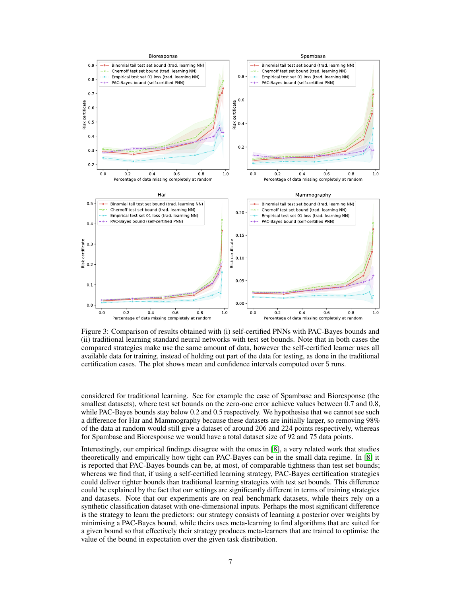

<span id="page-6-0"></span>Figure 3: Comparison of results obtained with (i) self-certified PNNs with PAC-Bayes bounds and (ii) traditional learning standard neural networks with test set bounds. Note that in both cases the compared strategies make use the same amount of data, however the self-certified learner uses all available data for training, instead of holding out part of the data for testing, as done in the traditional certification cases. The plot shows mean and confidence intervals computed over 5 runs.

considered for traditional learning. See for example the case of Spambase and Bioresponse (the smallest datasets), where test set bounds on the zero-one error achieve values between 0.7 and 0.8, while PAC-Bayes bounds stay below 0.2 and 0.5 respectively. We hypothesise that we cannot see such a difference for Har and Mammography because these datasets are initially larger, so removing 98% of the data at random would still give a dataset of around 206 and 224 points respectively, whereas for Spambase and Bioresponse we would have a total dataset size of 92 and 75 data points.

Interestingly, our empirical findings disagree with the ones in [\[8\]](#page-8-3), a very related work that studies theoretically and empirically how tight can PAC-Bayes can be in the small data regime. In [\[8\]](#page-8-3) it is reported that PAC-Bayes bounds can be, at most, of comparable tightness than test set bounds; whereas we find that, if using a self-certified learning strategy, PAC-Bayes certification strategies could deliver tighter bounds than traditional learning strategies with test set bounds. This difference could be explained by the fact that our settings are significantly different in terms of training strategies and datasets. Note that our experiments are on real benchmark datasets, while theirs rely on a synthetic classification dataset with one-dimensional inputs. Perhaps the most significant difference is the strategy to learn the predictors: our strategy consists of learning a posterior over weights by minimising a PAC-Bayes bound, while theirs uses meta-learning to find algorithms that are suited for a given bound so that effectively their strategy produces meta-learners that are trained to optimise the value of the bound in expectation over the given task distribution.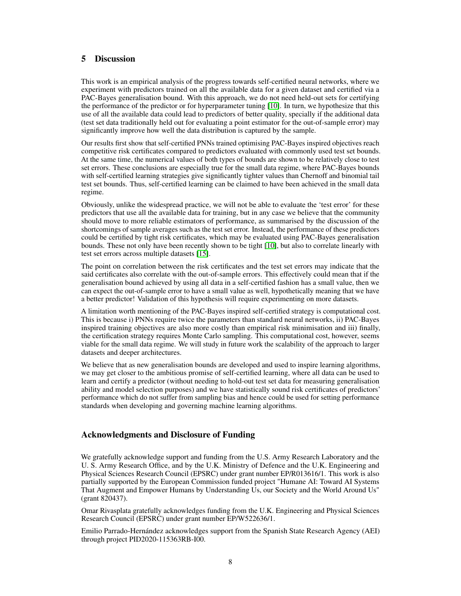# 5 Discussion

This work is an empirical analysis of the progress towards self-certified neural networks, where we experiment with predictors trained on all the available data for a given dataset and certified via a PAC-Bayes generalisation bound. With this approach, we do not need held-out sets for certifying the performance of the predictor or for hyperparameter tuning [\[10\]](#page-8-5). In turn, we hypothesize that this use of all the available data could lead to predictors of better quality, specially if the additional data (test set data traditionally held out for evaluating a point estimator for the out-of-sample error) may significantly improve how well the data distribution is captured by the sample.

Our results first show that self-certified PNNs trained optimising PAC-Bayes inspired objectives reach competitive risk certificates compared to predictors evaluated with commonly used test set bounds. At the same time, the numerical values of both types of bounds are shown to be relatively close to test set errors. These conclusions are especially true for the small data regime, where PAC-Bayes bounds with self-certified learning strategies give significantly tighter values than Chernoff and binomial tail test set bounds. Thus, self-certified learning can be claimed to have been achieved in the small data regime.

Obviously, unlike the widespread practice, we will not be able to evaluate the 'test error' for these predictors that use all the available data for training, but in any case we believe that the community should move to more reliable estimators of performance, as summarised by the discussion of the shortcomings of sample averages such as the test set error. Instead, the performance of these predictors could be certified by tight risk certificates, which may be evaluated using PAC-Bayes generalisation bounds. These not only have been recently shown to be tight [\[10\]](#page-8-5), but also to correlate linearly with test set errors across multiple datasets [\[15\]](#page-8-10).

The point on correlation between the risk certificates and the test set errors may indicate that the said certificates also correlate with the out-of-sample errors. This effectively could mean that if the generalisation bound achieved by using all data in a self-certified fashion has a small value, then we can expect the out-of-sample error to have a small value as well, hypothetically meaning that we have a better predictor! Validation of this hypothesis will require experimenting on more datasets.

A limitation worth mentioning of the PAC-Bayes inspired self-certified strategy is computational cost. This is because i) PNNs require twice the parameters than standard neural networks, ii) PAC-Bayes inspired training objectives are also more costly than empirical risk minimisation and iii) finally, the certification strategy requires Monte Carlo sampling. This computational cost, however, seems viable for the small data regime. We will study in future work the scalability of the approach to larger datasets and deeper architectures.

We believe that as new generalisation bounds are developed and used to inspire learning algorithms, we may get closer to the ambitious promise of self-certified learning, where all data can be used to learn and certify a predictor (without needing to hold-out test set data for measuring generalisation ability and model selection purposes) and we have statistically sound risk certificates of predictors' performance which do not suffer from sampling bias and hence could be used for setting performance standards when developing and governing machine learning algorithms.

# Acknowledgments and Disclosure of Funding

We gratefully acknowledge support and funding from the U.S. Army Research Laboratory and the U. S. Army Research Office, and by the U.K. Ministry of Defence and the U.K. Engineering and Physical Sciences Research Council (EPSRC) under grant number EP/R013616/1. This work is also partially supported by the European Commission funded project "Humane AI: Toward AI Systems That Augment and Empower Humans by Understanding Us, our Society and the World Around Us" (grant 820437).

Omar Rivasplata gratefully acknowledges funding from the U.K. Engineering and Physical Sciences Research Council (EPSRC) under grant number EP/W522636/1.

Emilio Parrado-Hernández acknowledges support from the Spanish State Research Agency (AEI) through project PID2020-115363RB-I00.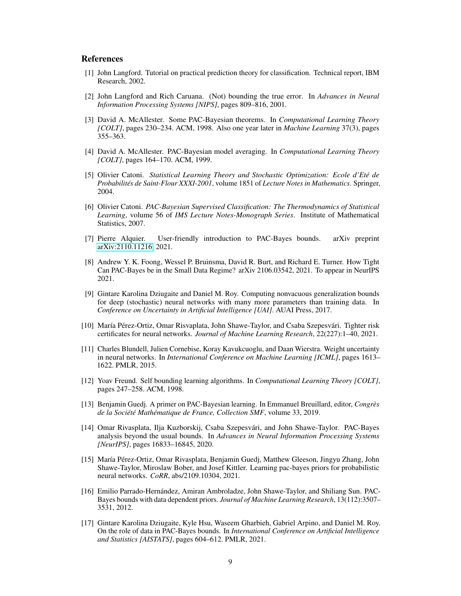## References

- <span id="page-8-0"></span>[1] John Langford. Tutorial on practical prediction theory for classification. Technical report, IBM Research, 2002.
- <span id="page-8-1"></span>[2] John Langford and Rich Caruana. (Not) bounding the true error. In *Advances in Neural Information Processing Systems [NIPS]*, pages 809–816, 2001.
- [3] David A. McAllester. Some PAC-Bayesian theorems. In *Computational Learning Theory [COLT]*, pages 230–234. ACM, 1998. Also one year later in *Machine Learning* 37(3), pages 355–363.
- [4] David A. McAllester. PAC-Bayesian model averaging. In *Computational Learning Theory [COLT]*, pages 164–170. ACM, 1999.
- [5] Olivier Catoni. *Statistical Learning Theory and Stochastic Optimization: Ecole d'Eté de Probabilités de Saint-Flour XXXI-2001*, volume 1851 of *Lecture Notes in Mathematics*. Springer, 2004.
- [6] Olivier Catoni. *PAC-Bayesian Supervised Classification: The Thermodynamics of Statistical Learning*, volume 56 of *IMS Lecture Notes-Monograph Series*. Institute of Mathematical Statistics, 2007.
- <span id="page-8-2"></span>[7] Pierre Alquier. User-friendly introduction to PAC-Bayes bounds. arXiv preprint [arXiv:2110.11216,](http://arxiv.org/abs/2110.11216) 2021.
- <span id="page-8-3"></span>[8] Andrew Y. K. Foong, Wessel P. Bruinsma, David R. Burt, and Richard E. Turner. How Tight Can PAC-Bayes be in the Small Data Regime? arXiv 2106.03542, 2021. To appear in NeurIPS 2021.
- <span id="page-8-4"></span>[9] Gintare Karolina Dziugaite and Daniel M. Roy. Computing nonvacuous generalization bounds for deep (stochastic) neural networks with many more parameters than training data. In *Conference on Uncertainty in Artificial Intelligence [UAI]*. AUAI Press, 2017.
- <span id="page-8-5"></span>[10] María Pérez-Ortiz, Omar Risvaplata, John Shawe-Taylor, and Csaba Szepesvári. Tighter risk certificates for neural networks. *Journal of Machine Learning Research*, 22(227):1–40, 2021.
- <span id="page-8-6"></span>[11] Charles Blundell, Julien Cornebise, Koray Kavukcuoglu, and Daan Wierstra. Weight uncertainty in neural networks. In *International Conference on Machine Learning [ICML]*, pages 1613– 1622. PMLR, 2015.
- <span id="page-8-7"></span>[12] Yoav Freund. Self bounding learning algorithms. In *Computational Learning Theory [COLT]*, pages 247–258. ACM, 1998.
- <span id="page-8-8"></span>[13] Benjamin Guedj. A primer on PAC-Bayesian learning. In Emmanuel Breuillard, editor, *Congrès de la Société Mathématique de France, Collection SMF*, volume 33, 2019.
- <span id="page-8-9"></span>[14] Omar Rivasplata, Ilja Kuzborskij, Csaba Szepesvári, and John Shawe-Taylor. PAC-Bayes analysis beyond the usual bounds. In *Advances in Neural Information Processing Systems [NeurIPS]*, pages 16833–16845, 2020.
- <span id="page-8-10"></span>[15] María Pérez-Ortiz, Omar Rivasplata, Benjamin Guedj, Matthew Gleeson, Jingyu Zhang, John Shawe-Taylor, Miroslaw Bober, and Josef Kittler. Learning pac-bayes priors for probabilistic neural networks. *CoRR*, abs/2109.10304, 2021.
- <span id="page-8-11"></span>[16] Emilio Parrado-Hernández, Amiran Ambroladze, John Shawe-Taylor, and Shiliang Sun. PAC-Bayes bounds with data dependent priors. *Journal of Machine Learning Research*, 13(112):3507– 3531, 2012.
- <span id="page-8-12"></span>[17] Gintare Karolina Dziugaite, Kyle Hsu, Waseem Gharbieh, Gabriel Arpino, and Daniel M. Roy. On the role of data in PAC-Bayes bounds. In *International Conference on Artificial Intelligence and Statistics [AISTATS]*, pages 604–612. PMLR, 2021.